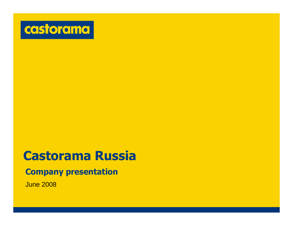

# **Castorama Russia**

#### **Company presentation**

June 2008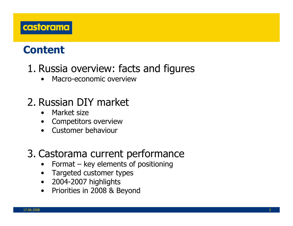

## **Content**

## 1. Russia overview: facts and figures

•Macro-economic overview

## 2. Russian DIY market

- $\bullet$ Market size
- $\bullet$ Competitors overview
- •Customer behaviour

## 3. Castorama current performance

- •Format – key elements of positioning
- •Targeted customer types
- $\bullet$ 2004-2007 highlights
- $\bullet$ Priorities in 2008 & Beyond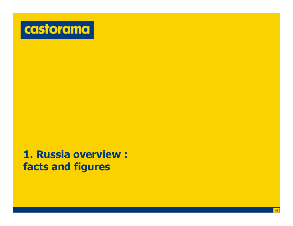

## **1. Russia overview : facts and figures**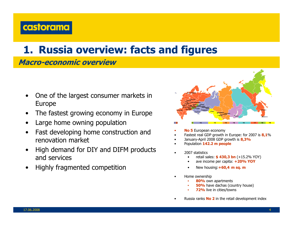

### **1. Russia overview: facts and figures**

#### **Macro-economic overview**

- • One of the largest consumer markets in Europe
- •The fastest growing economy in Europe
- •Large home owning population
- • Fast developing home construction and renovation market
- • High demand for DIY and DIFM products and services
- •Highly fragmented competition



- •**No 5** European economy
- •Fastest real GDP growth in Europe: for 2007 is **8,1**%
- •January-April 2008 GDP growth is **8,3%**
- •Population **142.2 m people**
- • 2007 statistics
	- •retail sales: **\$ 430,3 bn** (+15.2% YOY)
	- •ave income per capita: **+20% YOY**
	- •New housing:**+60,4 m sq. m**
- Home ownership

•

- **80%** own apartments
- **50%** have dachas (country house)
- **72%** live in cities/towns
- •• Russia ranks **No 2** in the retail development index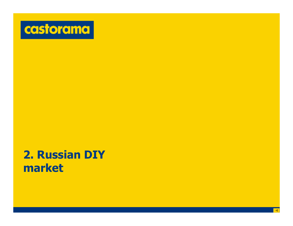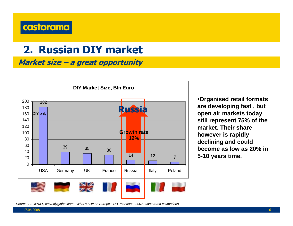

**Market size – a great opportunity**



•**Organised retail formats are developing fast , but open air markets today still represent 75% of the market. Their share however is rapidly declining and could become as low as 20% in 5-10 years time.**

*Source: FEDIYMA, www.diyglobal.com. "What's new on Europe's DIY markets" , 2007, Castorama estimations*

17.06.2008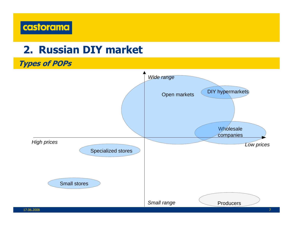

**Types of POPs**

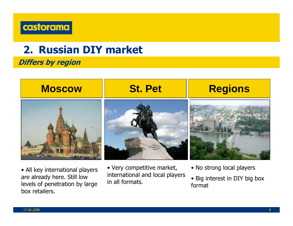

#### **Differs by region**



• All key international players are already here. Still low levels of penetration by large box retailers.

• Very competitive market, international and local players in all formats.

- No strong local players
- Big interest in DIY big box format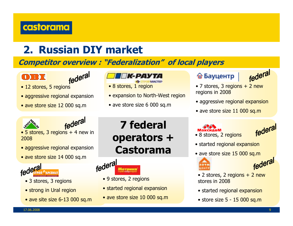

#### **Competitor overview : "Federalization" of local players**





- 12 stores, 5 regions
- aggressive regional expansion
- ave store size 12 000 sq.m



- 8 stores, 1 region
- expansion to North-West region
- ave store size 6 000 sq.m

#### <mark></mark> Бауцентр



- 7 stores, 3 regions + 2 new regions in 2008
- aggressive regional expansion
- ave store size 11 000 sq.m



federal

- 5 stores, 3 regions + 4 new in 2008
- aggressive regional expansion
- ave store size 14 000 sq.m



- 3 stores, 3 regions
- strong in Ural region
- ave site size 6-13 000 sq.m

## **7 federal operators + Castorama**



- 9 stores, 2 regions
- started regional expansion
- ave store size 10 000 sq.m

# • 8 stores, 2 regions



- started regional expansion
- ave store size 15 000 sq.m





- 2 stores, 2 regions + 2 new stores in 2008
- started regional expansion
- store size 5 15 000 sq.m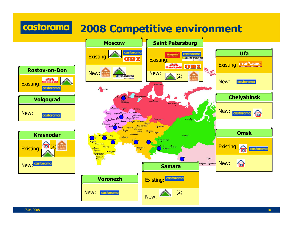#### castorama **2008 Competitive environment**

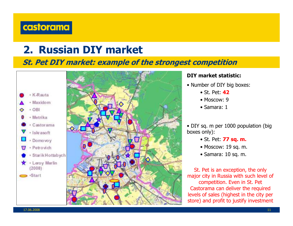#### castorama

## **2. Russian DIY market**

#### **St. Pet DIY market: example of the strongest competition**





#### **DIY market statistic:**

- Number of DIY big boxes:
	- St. Pet: **42**
	- Moscow: 9
	- Samara: 1

• DIY sq. m per 1000 population (big boxes only):

- St. Pet: **77 sq. m.**
- Moscow: 19 sq. m.
- Samara: 10 sq. m.

St. Pet is an exception, the only major city in Russia with such level of competition. Even in St. Pet Castorama can deliver the required levels of sales (highest in the city per store) and profit to justify investment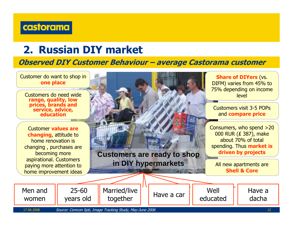

#### **Observed DIY Customer Behaviour – average Castorama customer**



17.06.2008

12 Source: Comcon Spb, Image Tracking Study, May-June 2006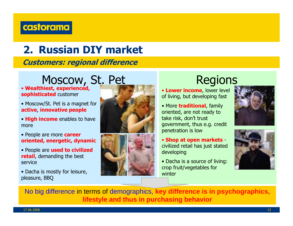#### castorama

# **2. Russian DIY market**

**Customers: regional difference**

# Moscow, St. Pet Regions

- **Wealthiest, experienced, sophisticated** customer
- Moscow/St. Pet is a magnet for **active**, **innovative people**
- **High income** enables to have more
- People are more **career oriented, energetic, dynamic**
- People are **used to civilized retail**, demanding the best service
- Dacha is mostly for leisure, pleasure, BBQ





• **Lower income**, lower level of living, but developing fast

- More **traditional**, family oriented, are not ready to take risk, don't trust government, thus e.g. credit penetration is low
- **Shop at open markets** civilized retail has just stated developing
- Dacha is a source of living: crop fruit/vegetables for winter





No big difference in terms of demographics, **key difference is in psychographics, lifestyle and thus in purchasing behavior**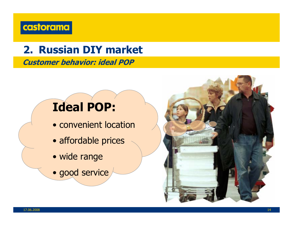

**Customer behavior: ideal POP**

# **Ideal POP:**

- convenient location
- affordable prices
- wide range
- good service

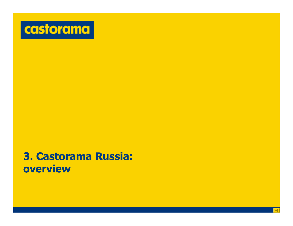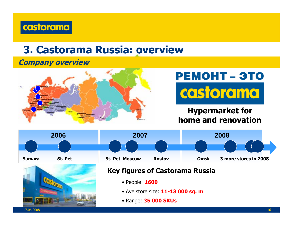

#### **Company overview**



# **PEMOHT - 3TO** castorama

**Hypermarket for home and renovation**



• Range: **35 000 SKUs**

17.06.2008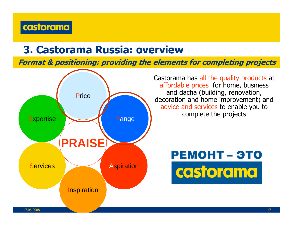

**Format & positioning: providing the elements for completing projects**

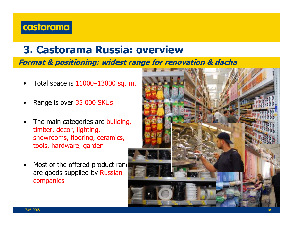

**Format & positioning: widest range for renovation & dacha**

- •Total space is 11000–13000 sq. m.
- •Range is over 35 000 SKUs
- • The main categories are building, timber, decor, lighting, showrooms, flooring, ceramics, tools, hardware, garden
- •Most of the offered product rand are goods supplied by Russian companies

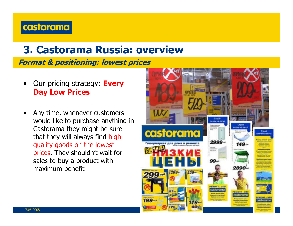#### castorama

### **3. Castorama Russia: overview**

**Format & positioning: lowest prices**

- • Our pricing strategy: **Every Day Low Prices**
- • Any time, whenever customers would like to purchase anything in Castorama they might be sure that they will always find high quality goods on the lowest prices. They shouldn't wait for sales to buy a product with maximum benefit

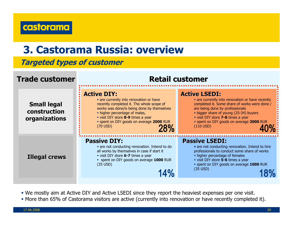

#### **Targeted types of customer**



- We mostly aim at Active DIY and Active LSEDI since they report the heaviest expenses per one visit.
- More than 65% of Castorama visitors are active (currently into renovation or have recently completed it).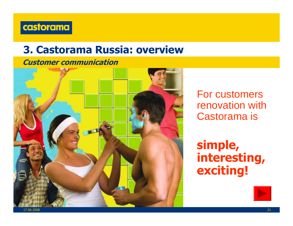

#### **Customer communication**



For customers renovation with Castorama is

**simple, interesting, exciting!**

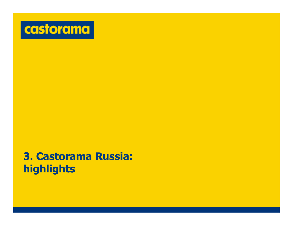

## **3. Castorama Russia: highlights**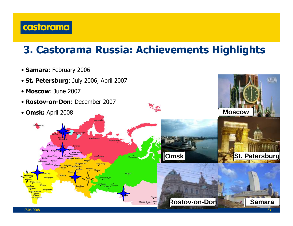

## **3. Castorama Russia: Achievements Highlights**

- **Samara**: February 2006
- **St. Petersburg**: July 2006, April 2007
- **Moscow**: June 2007
- **Rostov-on-Don**: December 2007
- **Omsk:** April 2008

17.06.2008



**Rostov-on-Don**



Кудымка

Kyprax

图像

**Samara**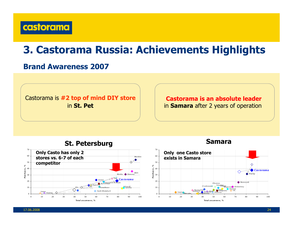

## **3. Castorama Russia: Achievements Highlights**

#### **Brand Awareness 2007**

Castorama is **#2 top of mind DIY store** in **St. Pet**

#### **Castorama is an absolute leader**  in **Samara** after 2 years of operation







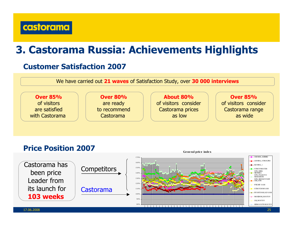

## **3. Castorama Russia: Achievements Highlights**

#### **Customer Satisfaction 2007**

We have carried out **21 waves** of Satisfaction Study, over **30 000 interviews**



#### **Price Position 2007**



**Ge ne ral pric <sup>e</sup> inde <sup>x</sup>**

17.06.2008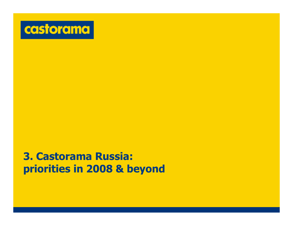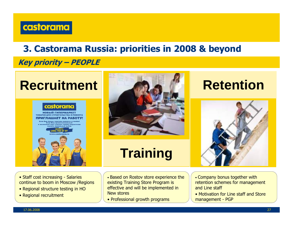

**Key priority – PEOPLE** 



**НОВЫЙ ГИПЕРМАРКЕ** ШАЕТ НА РАБ





# **Training**



- Staff cost increasing Salaries continue to boom in Moscow /Regions
- Regional structure testing in HO
- Regional recruitment
- Based on Rostov store experience the existing Training Store Program is effective and will be implemented in New stores
- Professional growth programs
- Company bonus together with retention schemes for management and Line staff
- Motivation for Line staff and Store management - PGP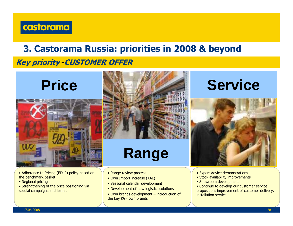

#### **Key priority -CUSTOMER OFFER**

# **Price**



- Adherence to Pricing (EDLP) policy based on the benchmark basket
- Regional pricing
- Strengthening of the price positioning via special campaigns and leaflet



# **Range**

- Range review process
- Own Import increase (KAL)
- Seasonal calendar development
- Development of new logistics solutions
- Own brands development introduction of the key KGF own brands

# **Service**



- Expert Advice demonstrations
- Stock availability improvements
- Showroom development
- Continue to develop our customer service proposition: improvement of customer delivery, installation service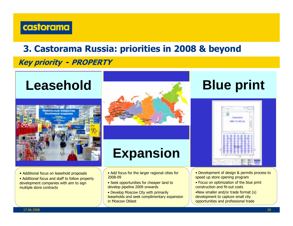

#### **Key priority - PROPERTY**

# **Leasehold**





# **Expansion**

- Additional focus on leasehold proposals
- Additional focus and staff to follow property development companies with aim to sign multiple store contracts
- Add focus for the larger regional cities for 2008-09
- Seek opportunities for cheaper land to develop pipeline 2009 onwards
- Develop Moscow City with primarily leaseholds and seek complimentary expansion in Moscow Oblast

# **Blue print**

|     | <b>COL</b><br>۰<br>×                       |                                         | <b>CONTRACTOR</b><br>-------------- |  |
|-----|--------------------------------------------|-----------------------------------------|-------------------------------------|--|
|     |                                            |                                         |                                     |  |
|     |                                            |                                         | -                                   |  |
|     | 49                                         | <b>CONTRACTOR</b><br>المتواريخ والمراكب |                                     |  |
|     |                                            |                                         |                                     |  |
|     |                                            |                                         |                                     |  |
|     |                                            | ۰<br>m                                  | ı.                                  |  |
|     |                                            | Е<br>- 8                                | Ħ<br>m<br>m<br>I<br>m               |  |
|     | <b>TIME</b><br>m<br>٠<br><b>STATISTICS</b> | -<br>m<br>m<br>÷<br>÷<br>- 1<br>÷       | m<br><b>IRC</b><br>È,<br>Ħ          |  |
|     |                                            | ٠<br>m                                  | t<br>₿                              |  |
| 100 | --<br>ı<br>- 10                            | m<br>m<br>ŧ<br>÷<br>--<br>æ<br>m        | m<br>F<br>н<br>۲<br>÷               |  |
|     | m                                          | îд.                                     | ŧ<br>m                              |  |
|     |                                            |                                         |                                     |  |

- Development of design & permits process to speed up store opening program
- Focus on optimization of the blue print construction and fit-out costs
- •New smaller and/or trade format (s) development to capture small city opportunities and professional trade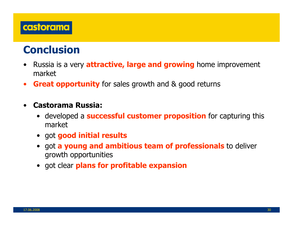

## **Conclusion**

- • Russia is a very **attractive, large and growing** home improvement market
- $\bullet$ **Great opportunity** for sales growth and & good returns
- • **Castorama Russia:**
	- developed a **successful customer proposition** for capturing this market
	- got **good initial results**
	- got **a young and ambitious team of professionals** to deliver growth opportunities
	- got clear **plans for profitable expansion**